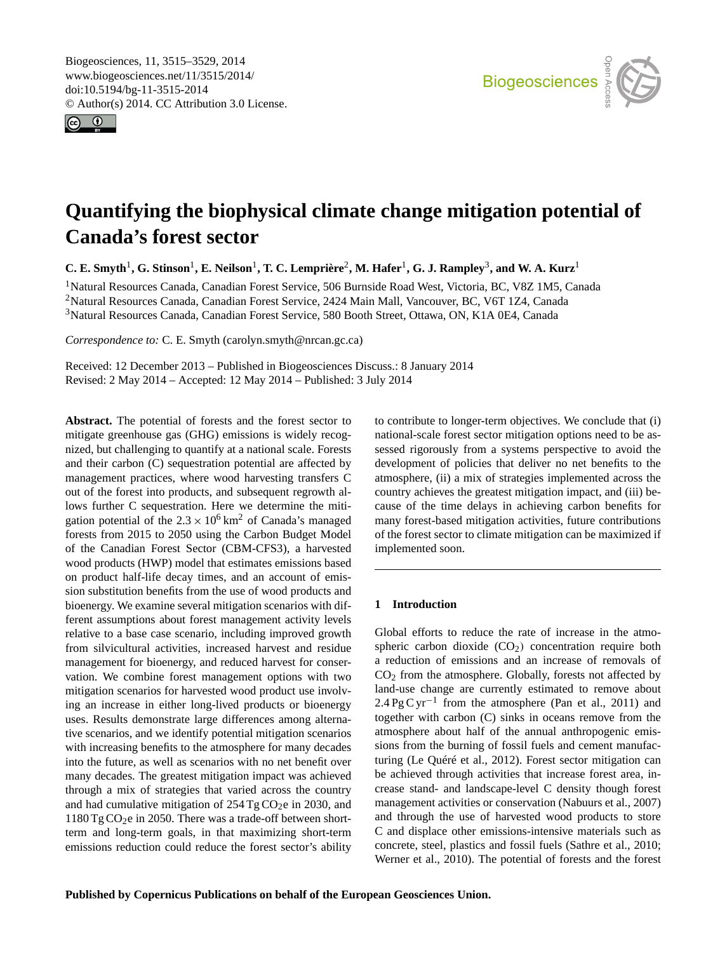<span id="page-0-0"></span>Biogeosciences, 11, 3515–3529, 2014 www.biogeosciences.net/11/3515/2014/ doi:10.5194/bg-11-3515-2014 © Author(s) 2014. CC Attribution 3.0 License.





# **Quantifying the biophysical climate change mitigation potential of Canada's forest sector**

**C. E. Smyth<sup>1</sup>, G. Stinson<sup>1</sup>, E. Neilson<sup>1</sup>, T. C. Lemprière<sup>2</sup>, M. Hafer<sup>1</sup>, G. J. Rampley<sup>3</sup>, and W. A. Kurz<sup>1</sup>** 

<sup>1</sup>Natural Resources Canada, Canadian Forest Service, 506 Burnside Road West, Victoria, BC, V8Z 1M5, Canada <sup>2</sup>Natural Resources Canada, Canadian Forest Service, 2424 Main Mall, Vancouver, BC, V6T 1Z4, Canada <sup>3</sup>Natural Resources Canada, Canadian Forest Service, 580 Booth Street, Ottawa, ON, K1A 0E4, Canada

*Correspondence to:* C. E. Smyth (carolyn.smyth@nrcan.gc.ca)

Received: 12 December 2013 – Published in Biogeosciences Discuss.: 8 January 2014 Revised: 2 May 2014 – Accepted: 12 May 2014 – Published: 3 July 2014

Abstract. The potential of forests and the forest sector to mitigate greenhouse gas (GHG) emissions is widely recognized, but challenging to quantify at a national scale. Forests and their carbon (C) sequestration potential are affected by management practices, where wood harvesting transfers C out of the forest into products, and subsequent regrowth allows further C sequestration. Here we determine the mitigation potential of the  $2.3 \times 10^6$  km<sup>2</sup> of Canada's managed forests from 2015 to 2050 using the Carbon Budget Model of the Canadian Forest Sector (CBM-CFS3), a harvested wood products (HWP) model that estimates emissions based on product half-life decay times, and an account of emission substitution benefits from the use of wood products and bioenergy. We examine several mitigation scenarios with different assumptions about forest management activity levels relative to a base case scenario, including improved growth from silvicultural activities, increased harvest and residue management for bioenergy, and reduced harvest for conservation. We combine forest management options with two mitigation scenarios for harvested wood product use involving an increase in either long-lived products or bioenergy uses. Results demonstrate large differences among alternative scenarios, and we identify potential mitigation scenarios with increasing benefits to the atmosphere for many decades into the future, as well as scenarios with no net benefit over many decades. The greatest mitigation impact was achieved through a mix of strategies that varied across the country and had cumulative mitigation of  $254 \text{ Tg CO}_2$ e in 2030, and  $1180$  Tg CO<sub>2</sub>e in 2050. There was a trade-off between shortterm and long-term goals, in that maximizing short-term emissions reduction could reduce the forest sector's ability

to contribute to longer-term objectives. We conclude that (i) national-scale forest sector mitigation options need to be assessed rigorously from a systems perspective to avoid the development of policies that deliver no net benefits to the atmosphere, (ii) a mix of strategies implemented across the country achieves the greatest mitigation impact, and (iii) because of the time delays in achieving carbon benefits for many forest-based mitigation activities, future contributions of the forest sector to climate mitigation can be maximized if implemented soon.

# **1 Introduction**

Global efforts to reduce the rate of increase in the atmospheric carbon dioxide  $(CO<sub>2</sub>)$  concentration require both a reduction of emissions and an increase of removals of CO<sup>2</sup> from the atmosphere. Globally, forests not affected by land-use change are currently estimated to remove about 2.4 Pg C yr<sup>-1</sup> from the atmosphere (Pan et al., 2011) and together with carbon (C) sinks in oceans remove from the atmosphere about half of the annual anthropogenic emissions from the burning of fossil fuels and cement manufacturing (Le Quéré et al., 2012). Forest sector mitigation can be achieved through activities that increase forest area, increase stand- and landscape-level C density though forest management activities or conservation (Nabuurs et al., 2007) and through the use of harvested wood products to store C and displace other emissions-intensive materials such as concrete, steel, plastics and fossil fuels (Sathre et al., 2010; Werner et al., 2010). The potential of forests and the forest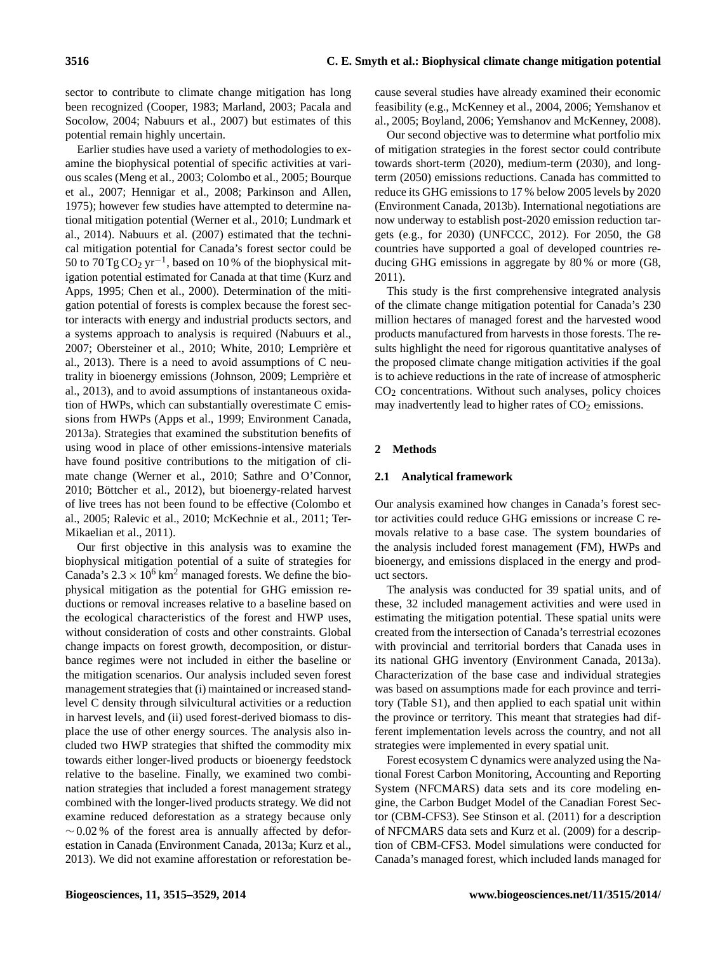sector to contribute to climate change mitigation has long been recognized (Cooper, 1983; Marland, 2003; Pacala and Socolow, 2004; Nabuurs et al., 2007) but estimates of this potential remain highly uncertain.

Earlier studies have used a variety of methodologies to examine the biophysical potential of specific activities at various scales (Meng et al., 2003; Colombo et al., 2005; Bourque et al., 2007; Hennigar et al., 2008; Parkinson and Allen, 1975); however few studies have attempted to determine national mitigation potential (Werner et al., 2010; Lundmark et al., 2014). Nabuurs et al. (2007) estimated that the technical mitigation potential for Canada's forest sector could be 50 to  $70 \text{ Tg} \text{CO}_2 \text{ yr}^{-1}$ , based on 10% of the biophysical mitigation potential estimated for Canada at that time (Kurz and Apps, 1995; Chen et al., 2000). Determination of the mitigation potential of forests is complex because the forest sector interacts with energy and industrial products sectors, and a systems approach to analysis is required (Nabuurs et al., 2007; Obersteiner et al., 2010; White, 2010; Lemprière et al., 2013). There is a need to avoid assumptions of C neutrality in bioenergy emissions (Johnson, 2009; Lemprière et al., 2013), and to avoid assumptions of instantaneous oxidation of HWPs, which can substantially overestimate C emissions from HWPs (Apps et al., 1999; Environment Canada, 2013a). Strategies that examined the substitution benefits of using wood in place of other emissions-intensive materials have found positive contributions to the mitigation of climate change (Werner et al., 2010; Sathre and O'Connor, 2010; Böttcher et al., 2012), but bioenergy-related harvest of live trees has not been found to be effective (Colombo et al., 2005; Ralevic et al., 2010; McKechnie et al., 2011; Ter-Mikaelian et al., 2011).

Our first objective in this analysis was to examine the biophysical mitigation potential of a suite of strategies for Canada's  $2.3 \times 10^6$  km<sup>2</sup> managed forests. We define the biophysical mitigation as the potential for GHG emission reductions or removal increases relative to a baseline based on the ecological characteristics of the forest and HWP uses, without consideration of costs and other constraints. Global change impacts on forest growth, decomposition, or disturbance regimes were not included in either the baseline or the mitigation scenarios. Our analysis included seven forest management strategies that (i) maintained or increased standlevel C density through silvicultural activities or a reduction in harvest levels, and (ii) used forest-derived biomass to displace the use of other energy sources. The analysis also included two HWP strategies that shifted the commodity mix towards either longer-lived products or bioenergy feedstock relative to the baseline. Finally, we examined two combination strategies that included a forest management strategy combined with the longer-lived products strategy. We did not examine reduced deforestation as a strategy because only  $~\sim$  0.02 % of the forest area is annually affected by deforestation in Canada (Environment Canada, 2013a; Kurz et al., 2013). We did not examine afforestation or reforestation because several studies have already examined their economic feasibility (e.g., McKenney et al., 2004, 2006; Yemshanov et al., 2005; Boyland, 2006; Yemshanov and McKenney, 2008).

Our second objective was to determine what portfolio mix of mitigation strategies in the forest sector could contribute towards short-term (2020), medium-term (2030), and longterm (2050) emissions reductions. Canada has committed to reduce its GHG emissions to 17 % below 2005 levels by 2020 (Environment Canada, 2013b). International negotiations are now underway to establish post-2020 emission reduction targets (e.g., for 2030) (UNFCCC, 2012). For 2050, the G8 countries have supported a goal of developed countries reducing GHG emissions in aggregate by 80 % or more (G8, 2011).

This study is the first comprehensive integrated analysis of the climate change mitigation potential for Canada's 230 million hectares of managed forest and the harvested wood products manufactured from harvests in those forests. The results highlight the need for rigorous quantitative analyses of the proposed climate change mitigation activities if the goal is to achieve reductions in the rate of increase of atmospheric  $CO<sub>2</sub>$  concentrations. Without such analyses, policy choices may inadvertently lead to higher rates of  $CO<sub>2</sub>$  emissions.

# **2 Methods**

## **2.1 Analytical framework**

Our analysis examined how changes in Canada's forest sector activities could reduce GHG emissions or increase C removals relative to a base case. The system boundaries of the analysis included forest management (FM), HWPs and bioenergy, and emissions displaced in the energy and product sectors.

The analysis was conducted for 39 spatial units, and of these, 32 included management activities and were used in estimating the mitigation potential. These spatial units were created from the intersection of Canada's terrestrial ecozones with provincial and territorial borders that Canada uses in its national GHG inventory (Environment Canada, 2013a). Characterization of the base case and individual strategies was based on assumptions made for each province and territory (Table S1), and then applied to each spatial unit within the province or territory. This meant that strategies had different implementation levels across the country, and not all strategies were implemented in every spatial unit.

Forest ecosystem C dynamics were analyzed using the National Forest Carbon Monitoring, Accounting and Reporting System (NFCMARS) data sets and its core modeling engine, the Carbon Budget Model of the Canadian Forest Sector (CBM-CFS3). See Stinson et al. (2011) for a description of NFCMARS data sets and Kurz et al. (2009) for a description of CBM-CFS3. Model simulations were conducted for Canada's managed forest, which included lands managed for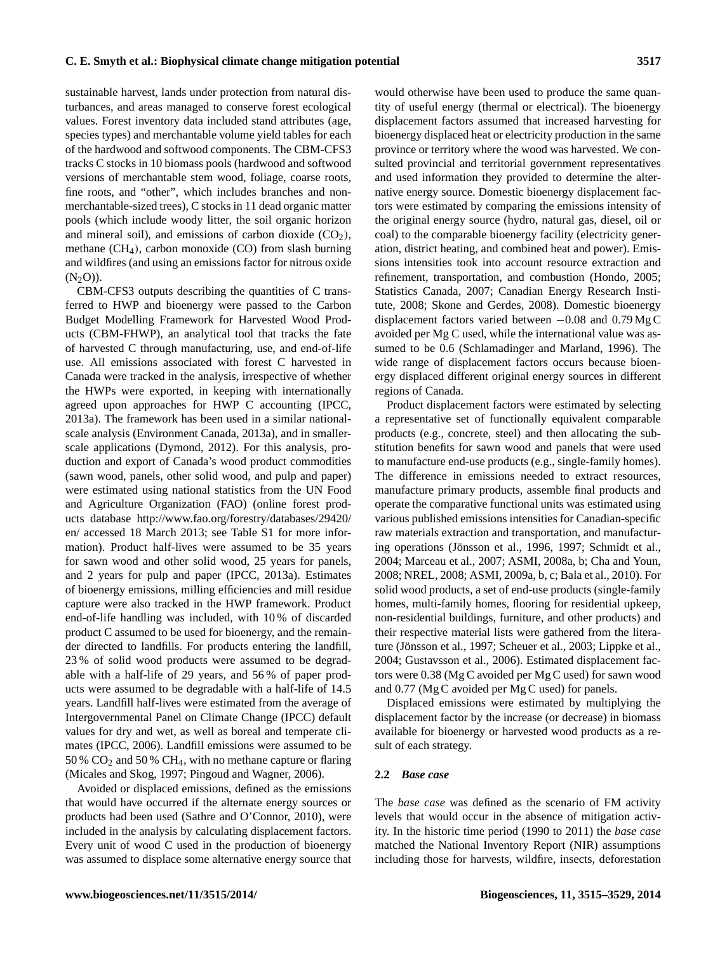sustainable harvest, lands under protection from natural disturbances, and areas managed to conserve forest ecological values. Forest inventory data included stand attributes (age, species types) and merchantable volume yield tables for each of the hardwood and softwood components. The CBM-CFS3 tracks C stocks in 10 biomass pools (hardwood and softwood versions of merchantable stem wood, foliage, coarse roots, fine roots, and "other", which includes branches and nonmerchantable-sized trees), C stocks in 11 dead organic matter pools (which include woody litter, the soil organic horizon and mineral soil), and emissions of carbon dioxide  $(CO<sub>2</sub>)$ , methane  $(CH<sub>4</sub>)$ , carbon monoxide (CO) from slash burning and wildfires (and using an emissions factor for nitrous oxide  $(N_2O)$ ).

CBM-CFS3 outputs describing the quantities of C transferred to HWP and bioenergy were passed to the Carbon Budget Modelling Framework for Harvested Wood Products (CBM-FHWP), an analytical tool that tracks the fate of harvested C through manufacturing, use, and end-of-life use. All emissions associated with forest C harvested in Canada were tracked in the analysis, irrespective of whether the HWPs were exported, in keeping with internationally agreed upon approaches for HWP C accounting (IPCC, 2013a). The framework has been used in a similar nationalscale analysis (Environment Canada, 2013a), and in smallerscale applications (Dymond, 2012). For this analysis, production and export of Canada's wood product commodities (sawn wood, panels, other solid wood, and pulp and paper) were estimated using national statistics from the UN Food and Agriculture Organization (FAO) (online forest products database [http://www.fao.org/forestry/databases/29420/](http://www.fao.org/forestry/databases/29420/en/) [en/](http://www.fao.org/forestry/databases/29420/en/) accessed 18 March 2013; see Table S1 for more information). Product half-lives were assumed to be 35 years for sawn wood and other solid wood, 25 years for panels, and 2 years for pulp and paper (IPCC, 2013a). Estimates of bioenergy emissions, milling efficiencies and mill residue capture were also tracked in the HWP framework. Product end-of-life handling was included, with 10 % of discarded product C assumed to be used for bioenergy, and the remainder directed to landfills. For products entering the landfill, 23 % of solid wood products were assumed to be degradable with a half-life of 29 years, and 56 % of paper products were assumed to be degradable with a half-life of 14.5 years. Landfill half-lives were estimated from the average of Intergovernmental Panel on Climate Change (IPCC) default values for dry and wet, as well as boreal and temperate climates (IPCC, 2006). Landfill emissions were assumed to be 50 %  $CO<sub>2</sub>$  and 50 %  $CH<sub>4</sub>$ , with no methane capture or flaring (Micales and Skog, 1997; Pingoud and Wagner, 2006).

Avoided or displaced emissions, defined as the emissions that would have occurred if the alternate energy sources or products had been used (Sathre and O'Connor, 2010), were included in the analysis by calculating displacement factors. Every unit of wood C used in the production of bioenergy was assumed to displace some alternative energy source that would otherwise have been used to produce the same quantity of useful energy (thermal or electrical). The bioenergy displacement factors assumed that increased harvesting for bioenergy displaced heat or electricity production in the same province or territory where the wood was harvested. We consulted provincial and territorial government representatives and used information they provided to determine the alternative energy source. Domestic bioenergy displacement factors were estimated by comparing the emissions intensity of the original energy source (hydro, natural gas, diesel, oil or coal) to the comparable bioenergy facility (electricity generation, district heating, and combined heat and power). Emissions intensities took into account resource extraction and refinement, transportation, and combustion (Hondo, 2005; Statistics Canada, 2007; Canadian Energy Research Institute, 2008; Skone and Gerdes, 2008). Domestic bioenergy displacement factors varied between −0.08 and 0.79 Mg C avoided per Mg C used, while the international value was assumed to be 0.6 (Schlamadinger and Marland, 1996). The wide range of displacement factors occurs because bioenergy displaced different original energy sources in different regions of Canada.

Product displacement factors were estimated by selecting a representative set of functionally equivalent comparable products (e.g., concrete, steel) and then allocating the substitution benefits for sawn wood and panels that were used to manufacture end-use products (e.g., single-family homes). The difference in emissions needed to extract resources, manufacture primary products, assemble final products and operate the comparative functional units was estimated using various published emissions intensities for Canadian-specific raw materials extraction and transportation, and manufacturing operations (Jönsson et al., 1996, 1997; Schmidt et al., 2004; Marceau et al., 2007; ASMI, 2008a, b; Cha and Youn, 2008; NREL, 2008; ASMI, 2009a, b, c; Bala et al., 2010). For solid wood products, a set of end-use products (single-family homes, multi-family homes, flooring for residential upkeep, non-residential buildings, furniture, and other products) and their respective material lists were gathered from the literature (Jönsson et al., 1997; Scheuer et al., 2003; Lippke et al., 2004; Gustavsson et al., 2006). Estimated displacement factors were 0.38 (Mg C avoided per Mg C used) for sawn wood and 0.77 (Mg C avoided per Mg C used) for panels.

Displaced emissions were estimated by multiplying the displacement factor by the increase (or decrease) in biomass available for bioenergy or harvested wood products as a result of each strategy.

#### **2.2** *Base case*

The *base case* was defined as the scenario of FM activity levels that would occur in the absence of mitigation activity. In the historic time period (1990 to 2011) the *base case* matched the National Inventory Report (NIR) assumptions including those for harvests, wildfire, insects, deforestation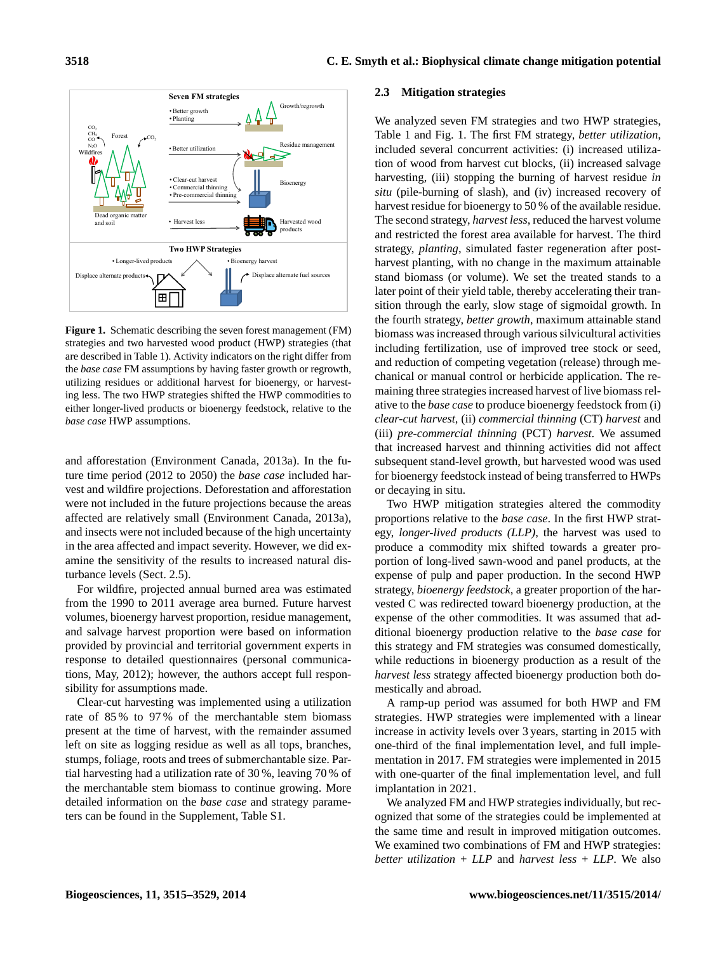

Figure 1. Schematic describing the seven forest management (FM) strategies and two harvested wood product (HWP) strategies (that are described in Table 1). Activity indicators on the right differ from the *base case* FM assumptions by having faster growth or regrowth, utilizing residues or additional harvest for bioenergy, or harvesting less. The two HWP strategies shifted the HWP commodities to either longer-lived products or bioenergy feedstock, relative to the *base case* HWP assumptions.

and afforestation (Environment Canada, 2013a). In the future time period (2012 to 2050) the *base case* included harvest and wildfire projections. Deforestation and afforestation were not included in the future projections because the areas affected are relatively small (Environment Canada, 2013a), and insects were not included because of the high uncertainty in the area affected and impact severity. However, we did examine the sensitivity of the results to increased natural disturbance levels (Sect. 2.5).

For wildfire, projected annual burned area was estimated from the 1990 to 2011 average area burned. Future harvest volumes, bioenergy harvest proportion, residue management, and salvage harvest proportion were based on information provided by provincial and territorial government experts in response to detailed questionnaires (personal communications, May, 2012); however, the authors accept full responsibility for assumptions made.

Clear-cut harvesting was implemented using a utilization rate of 85 % to 97 % of the merchantable stem biomass present at the time of harvest, with the remainder assumed left on site as logging residue as well as all tops, branches, stumps, foliage, roots and trees of submerchantable size. Partial harvesting had a utilization rate of 30 %, leaving 70 % of the merchantable stem biomass to continue growing. More detailed information on the *base case* and strategy parameters can be found in the Supplement, Table S1.

#### **2.3 Mitigation strategies**

We analyzed seven FM strategies and two HWP strategies, Table 1 and Fig. 1. The first FM strategy, *better utilization*, included several concurrent activities: (i) increased utilization of wood from harvest cut blocks, (ii) increased salvage harvesting, (iii) stopping the burning of harvest residue *in situ* (pile-burning of slash), and (iv) increased recovery of harvest residue for bioenergy to 50 % of the available residue. The second strategy, *harvest less*, reduced the harvest volume and restricted the forest area available for harvest. The third strategy, *planting*, simulated faster regeneration after postharvest planting, with no change in the maximum attainable stand biomass (or volume). We set the treated stands to a later point of their yield table, thereby accelerating their transition through the early, slow stage of sigmoidal growth. In the fourth strategy, *better growth*, maximum attainable stand biomass was increased through various silvicultural activities including fertilization, use of improved tree stock or seed, and reduction of competing vegetation (release) through mechanical or manual control or herbicide application. The remaining three strategies increased harvest of live biomass relative to the *base case* to produce bioenergy feedstock from (i) *clear-cut harvest*, (ii) *commercial thinning* (CT) *harvest* and (iii) *pre-commercial thinning* (PCT) *harvest*. We assumed that increased harvest and thinning activities did not affect subsequent stand-level growth, but harvested wood was used for bioenergy feedstock instead of being transferred to HWPs or decaying in situ.

Two HWP mitigation strategies altered the commodity proportions relative to the *base case*. In the first HWP strategy, *longer-lived products (LLP)*, the harvest was used to produce a commodity mix shifted towards a greater proportion of long-lived sawn-wood and panel products, at the expense of pulp and paper production. In the second HWP strategy, *bioenergy feedstock*, a greater proportion of the harvested C was redirected toward bioenergy production, at the expense of the other commodities. It was assumed that additional bioenergy production relative to the *base case* for this strategy and FM strategies was consumed domestically, while reductions in bioenergy production as a result of the *harvest less* strategy affected bioenergy production both domestically and abroad.

A ramp-up period was assumed for both HWP and FM strategies. HWP strategies were implemented with a linear increase in activity levels over 3 years, starting in 2015 with one-third of the final implementation level, and full implementation in 2017. FM strategies were implemented in 2015 with one-quarter of the final implementation level, and full implantation in 2021.

We analyzed FM and HWP strategies individually, but recognized that some of the strategies could be implemented at the same time and result in improved mitigation outcomes. We examined two combinations of FM and HWP strategies: *better utilization* + *LLP* and *harvest less* + *LLP*. We also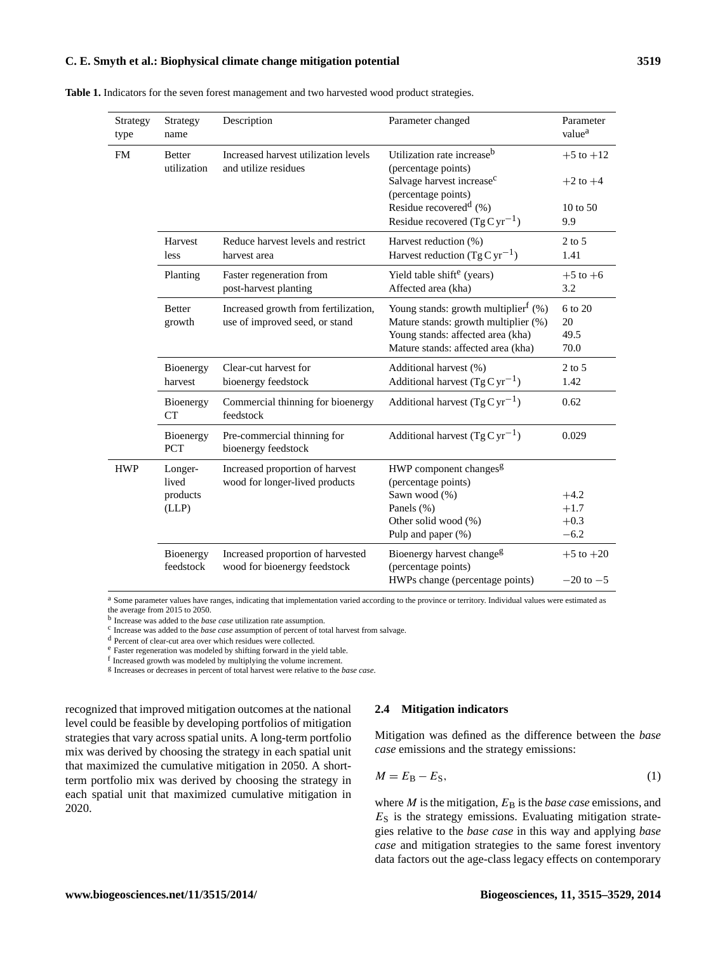| Strategy<br>type | Strategy<br>name             | Description                                                       | Parameter changed                                             | Parameter<br>value <sup>a</sup> |
|------------------|------------------------------|-------------------------------------------------------------------|---------------------------------------------------------------|---------------------------------|
| <b>FM</b>        | <b>Better</b><br>utilization | Increased harvest utilization levels<br>and utilize residues      | Utilization rate increase <sup>b</sup><br>(percentage points) | $+5$ to $+12$                   |
|                  |                              |                                                                   | Salvage harvest increase <sup>c</sup><br>(percentage points)  | $+2$ to $+4$                    |
|                  |                              |                                                                   | Residue recovered <sup>d</sup> $(\% )$                        | $10 \text{ to } 50$             |
|                  |                              |                                                                   | Residue recovered $(Tg Cyr^{-1})$                             | 9.9                             |
|                  | Harvest                      | Reduce harvest levels and restrict                                | Harvest reduction (%)                                         | $2$ to 5                        |
|                  | less                         | harvest area                                                      | Harvest reduction $(Tg Cyr^{-1})$                             | 1.41                            |
|                  | Planting                     | Faster regeneration from                                          | Yield table shift <sup>e</sup> (years)                        | $+5$ to $+6$                    |
|                  |                              | post-harvest planting                                             | Affected area (kha)                                           | 3.2                             |
|                  | <b>Better</b>                | Increased growth from fertilization,                              | Young stands: growth multiplier <sup>f</sup> $(\%)$           | 6 to 20                         |
|                  | growth                       | use of improved seed, or stand                                    | Mature stands: growth multiplier (%)                          | 20                              |
|                  |                              |                                                                   | Young stands: affected area (kha)                             | 49.5                            |
|                  |                              |                                                                   | Mature stands: affected area (kha)                            | 70.0                            |
|                  | Bioenergy                    | Clear-cut harvest for                                             | Additional harvest (%)                                        | $2$ to 5                        |
|                  | harvest                      | bioenergy feedstock                                               | Additional harvest $(TgCyr^{-1})$                             | 1.42                            |
|                  | Bioenergy<br><b>CT</b>       | Commercial thinning for bioenergy<br>feedstock                    | Additional harvest $(TgCyr^{-1})$                             | 0.62                            |
|                  | Bioenergy<br><b>PCT</b>      | Pre-commercial thinning for<br>bioenergy feedstock                | Additional harvest $(TgCyr^{-1})$                             | 0.029                           |
| <b>HWP</b>       | Longer-                      | Increased proportion of harvest                                   | HWP component changes <sup>g</sup>                            |                                 |
|                  | lived                        | wood for longer-lived products                                    | (percentage points)                                           |                                 |
|                  | products                     |                                                                   | Sawn wood (%)                                                 | $+4.2$                          |
|                  | (LLP)                        |                                                                   | Panels (%)                                                    | $+1.7$                          |
|                  |                              |                                                                   | Other solid wood (%)                                          | $+0.3$                          |
|                  |                              |                                                                   | Pulp and paper $(\%)$                                         | $-6.2$                          |
|                  | Bioenergy<br>feedstock       | Increased proportion of harvested<br>wood for bioenergy feedstock | Bioenergy harvest change <sup>g</sup><br>(percentage points)  | $+5$ to $+20$                   |
|                  |                              |                                                                   | HWPs change (percentage points)                               | $-20$ to $-5$                   |

**Table 1.** Indicators for the seven forest management and two harvested wood product strategies.

<sup>a</sup> Some parameter values have ranges, indicating that implementation varied according to the province or territory. Individual values were estimated as the average from 2015 to 2050.

b Increase was added to the *base case* utilization rate assumption.

c Increase was added to the *base case* assumption of percent of total harvest from salvage.

<sup>d</sup> Percent of clear-cut area over which residues were collected.

<sup>e</sup> Faster regeneration was modeled by shifting forward in the yield table.

f Increased growth was modeled by multiplying the volume increment.

g Increases or decreases in percent of total harvest were relative to the *base case*.

recognized that improved mitigation outcomes at the national level could be feasible by developing portfolios of mitigation strategies that vary across spatial units. A long-term portfolio mix was derived by choosing the strategy in each spatial unit that maximized the cumulative mitigation in 2050. A shortterm portfolio mix was derived by choosing the strategy in each spatial unit that maximized cumulative mitigation in 2020.

#### **2.4 Mitigation indicators**

Mitigation was defined as the difference between the *base case* emissions and the strategy emissions:

$$
M = EB - ES, \t\t(1)
$$

where  $M$  is the mitigation,  $E_B$  is the *base case* emissions, and  $E<sub>S</sub>$  is the strategy emissions. Evaluating mitigation strategies relative to the *base case* in this way and applying *base case* and mitigation strategies to the same forest inventory data factors out the age-class legacy effects on contemporary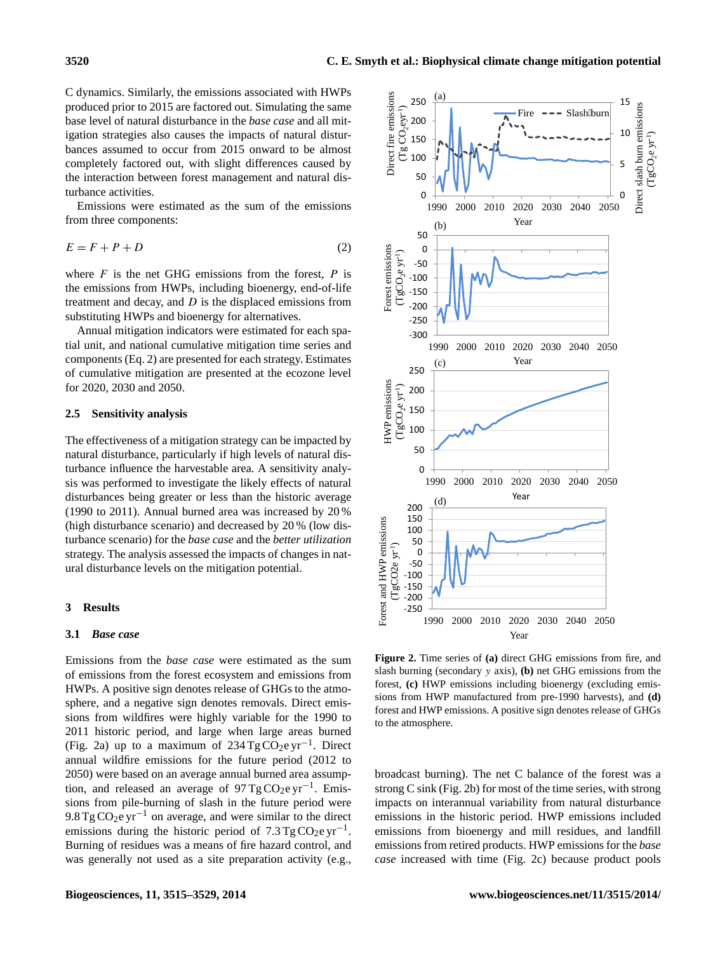C dynamics. Similarly, the emissions associated with HWPs produced prior to 2015 are factored out. Simulating the same base level of natural disturbance in the *base case* and all mitigation strategies also causes the impacts of natural disturbances assumed to occur from 2015 onward to be almost completely factored out, with slight differences caused by the interaction between forest management and natural disturbance activities.

Emissions were estimated as the sum of the emissions from three components:

$$
E = F + P + D \tag{2}
$$

where  $F$  is the net GHG emissions from the forest,  $P$  is the emissions from HWPs, including bioenergy, end-of-life treatment and decay, and  $D$  is the displaced emissions from substituting HWPs and bioenergy for alternatives.

Annual mitigation indicators were estimated for each spatial unit, and national cumulative mitigation time series and components (Eq. 2) are presented for each strategy. Estimates of cumulative mitigation are presented at the ecozone level for 2020, 2030 and 2050.

# **2.5 Sensitivity analysis**

The effectiveness of a mitigation strategy can be impacted by natural disturbance, particularly if high levels of natural disturbance influence the harvestable area. A sensitivity analysis was performed to investigate the likely effects of natural disturbances being greater or less than the historic average (1990 to 2011). Annual burned area was increased by 20 % (high disturbance scenario) and decreased by 20 % (low disturbance scenario) for the *base case* and the *better utilization* strategy. The analysis assessed the impacts of changes in natural disturbance levels on the mitigation potential.

# **3 Results**

#### **3.1** *Base case*

Emissions from the *base case* were estimated as the sum of emissions from the forest ecosystem and emissions from HWPs. A positive sign denotes release of GHGs to the atmosphere, and a negative sign denotes removals. Direct emissions from wildfires were highly variable for the 1990 to 2011 historic period, and large when large areas burned (Fig. 2a) up to a maximum of 234 Tg CO<sub>2</sub>e yr<sup>-1</sup>. Direct annual wildfire emissions for the future period (2012 to 2050) were based on an average annual burned area assumption, and released an average of  $97$  Tg CO<sub>2</sub>e yr<sup>-1</sup>. Emissions from pile-burning of slash in the future period were 9.8 Tg CO<sub>2</sub>e yr<sup>-1</sup> on average, and were similar to the direct emissions during the historic period of  $7.3$  Tg CO<sub>2</sub>e yr<sup>-1</sup>. Burning of residues was a means of fire hazard control, and was generally not used as a site preparation activity (e.g.,



**Figure 2.** Time series of **(a)** direct GHG emissions from fire, and slash burning (secondary y axis), **(b)** net GHG emissions from the forest, **(c)** HWP emissions including bioenergy (excluding emissions from HWP manufactured from pre-1990 harvests), and **(d)** forest and HWP emissions. A positive sign denotes release of GHGs to the atmosphere.

broadcast burning). The net C balance of the forest was a strong C sink (Fig. 2b) for most of the time series, with strong impacts on interannual variability from natural disturbance emissions in the historic period. HWP emissions included emissions from bioenergy and mill residues, and landfill emissions from retired products. HWP emissions for the *base case* increased with time (Fig. 2c) because product pools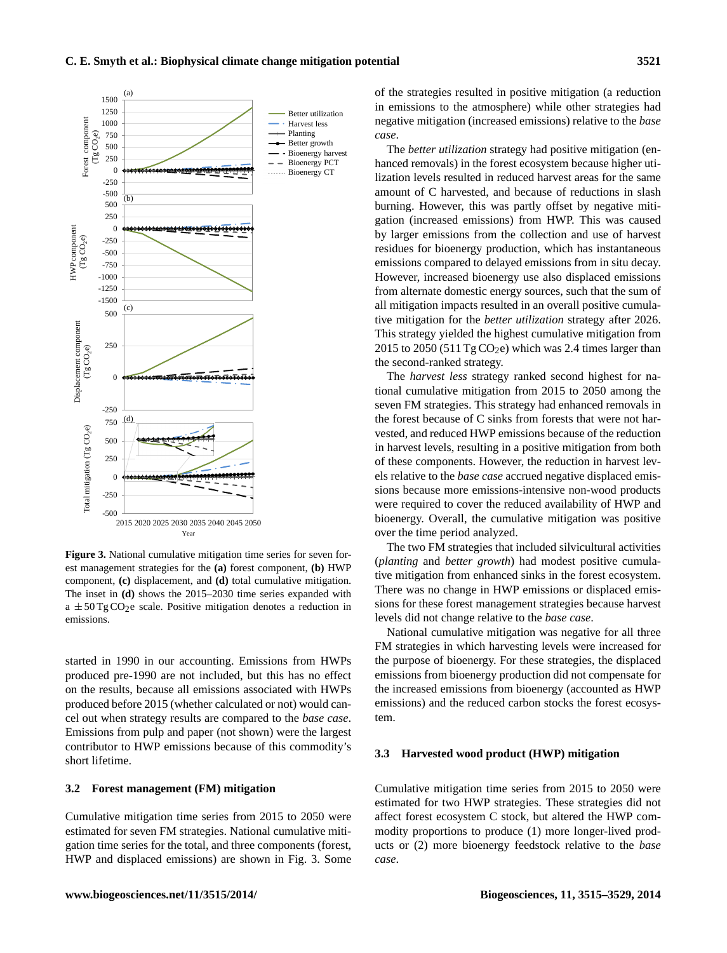

**Figure 3.** National cumulative mitigation time series for seven forest management strategies for the **(a)** forest component, **(b)** HWP component, **(c)** displacement, and **(d)** total cumulative mitigation. The inset in **(d)** shows the 2015–2030 time series expanded with  $a \pm 50$  Tg CO<sub>2</sub>e scale. Positive mitigation denotes a reduction in emissions.

started in 1990 in our accounting. Emissions from HWPs produced pre-1990 are not included, but this has no effect on the results, because all emissions associated with HWPs produced before 2015 (whether calculated or not) would cancel out when strategy results are compared to the *base case*. Emissions from pulp and paper (not shown) were the largest contributor to HWP emissions because of this commodity's short lifetime.

## **3.2 Forest management (FM) mitigation**

Cumulative mitigation time series from 2015 to 2050 were estimated for seven FM strategies. National cumulative mitigation time series for the total, and three components (forest, HWP and displaced emissions) are shown in Fig. 3. Some of the strategies resulted in positive mitigation (a reduction in emissions to the atmosphere) while other strategies had negative mitigation (increased emissions) relative to the *base case*.

The *better utilization* strategy had positive mitigation (enhanced removals) in the forest ecosystem because higher utilization levels resulted in reduced harvest areas for the same amount of C harvested, and because of reductions in slash burning. However, this was partly offset by negative mitigation (increased emissions) from HWP. This was caused by larger emissions from the collection and use of harvest residues for bioenergy production, which has instantaneous emissions compared to delayed emissions from in situ decay. However, increased bioenergy use also displaced emissions from alternate domestic energy sources, such that the sum of all mitigation impacts resulted in an overall positive cumulative mitigation for the *better utilization* strategy after 2026. This strategy yielded the highest cumulative mitigation from 2015 to 2050 (511 Tg  $CO<sub>2</sub>e$ ) which was 2.4 times larger than the second-ranked strategy.

The *harvest less* strategy ranked second highest for national cumulative mitigation from 2015 to 2050 among the seven FM strategies. This strategy had enhanced removals in the forest because of C sinks from forests that were not harvested, and reduced HWP emissions because of the reduction in harvest levels, resulting in a positive mitigation from both of these components. However, the reduction in harvest levels relative to the *base case* accrued negative displaced emissions because more emissions-intensive non-wood products were required to cover the reduced availability of HWP and bioenergy. Overall, the cumulative mitigation was positive over the time period analyzed.

The two FM strategies that included silvicultural activities (*planting* and *better growth*) had modest positive cumulative mitigation from enhanced sinks in the forest ecosystem. There was no change in HWP emissions or displaced emissions for these forest management strategies because harvest levels did not change relative to the *base case*.

National cumulative mitigation was negative for all three FM strategies in which harvesting levels were increased for the purpose of bioenergy. For these strategies, the displaced emissions from bioenergy production did not compensate for the increased emissions from bioenergy (accounted as HWP emissions) and the reduced carbon stocks the forest ecosystem.

# **3.3 Harvested wood product (HWP) mitigation**

Cumulative mitigation time series from 2015 to 2050 were estimated for two HWP strategies. These strategies did not affect forest ecosystem C stock, but altered the HWP commodity proportions to produce (1) more longer-lived products or (2) more bioenergy feedstock relative to the *base case*.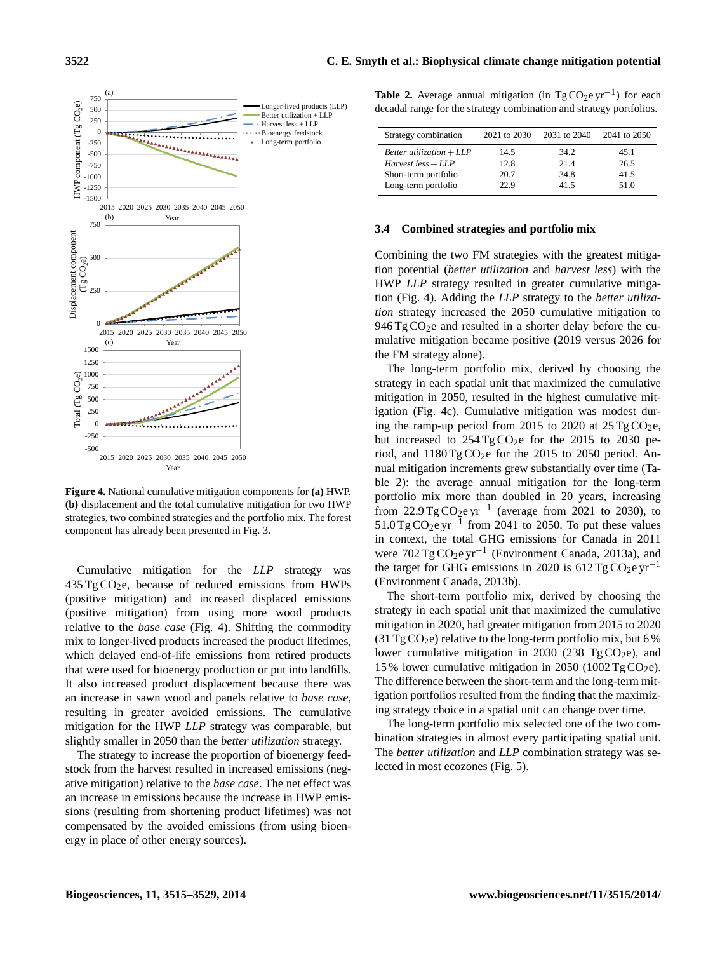

**Figure 4.** National cumulative mitigation components for **(a)** HWP, **(b)** displacement and the total cumulative mitigation for two HWP strategies, two combined strategies and the portfolio mix. The forest component has already been presented in Fig. 3.

Cumulative mitigation for the *LLP* strategy was  $435 \text{ Tg CO}_2$ e, because of reduced emissions from HWPs (positive mitigation) and increased displaced emissions (positive mitigation) from using more wood products relative to the *base case* (Fig. 4). Shifting the commodity mix to longer-lived products increased the product lifetimes, which delayed end-of-life emissions from retired products that were used for bioenergy production or put into landfills. It also increased product displacement because there was an increase in sawn wood and panels relative to *base case*, resulting in greater avoided emissions. The cumulative mitigation for the HWP *LLP* strategy was comparable, but slightly smaller in 2050 than the *better utilization* strategy.

The strategy to increase the proportion of bioenergy feedstock from the harvest resulted in increased emissions (negative mitigation) relative to the *base case*. The net effect was an increase in emissions because the increase in HWP emissions (resulting from shortening product lifetimes) was not compensated by the avoided emissions (from using bioenergy in place of other energy sources).

|  |  | <b>Table 2.</b> Average annual mitigation (in TgCO <sub>2</sub> e yr <sup>-1</sup> ) for each |  |
|--|--|-----------------------------------------------------------------------------------------------|--|
|  |  | decadal range for the strategy combination and strategy portfolios.                           |  |

| Strategy combination       | 2021 to 2030 | 2031 to 2040 | 2041 to 2050 |
|----------------------------|--------------|--------------|--------------|
| Better utilization $+ LLP$ | 14.5         | 34.2         | 45.1         |
| $Harvest$ less + $LLP$     | 12.8         | 214          | 26.5         |
| Short-term portfolio       | 20.7         | 34.8         | 41.5         |
| Long-term portfolio        | 22.9         | 41.5         | 51.0         |

## **3.4 Combined strategies and portfolio mix**

Combining the two FM strategies with the greatest mitigation potential (*better utilization* and *harvest less*) with the HWP *LLP* strategy resulted in greater cumulative mitigation (Fig. 4). Adding the *LLP* strategy to the *better utilization* strategy increased the 2050 cumulative mitigation to  $946 \text{ Tg} \text{CO}_2$ e and resulted in a shorter delay before the cumulative mitigation became positive (2019 versus 2026 for the FM strategy alone).

The long-term portfolio mix, derived by choosing the strategy in each spatial unit that maximized the cumulative mitigation in 2050, resulted in the highest cumulative mitigation (Fig. 4c). Cumulative mitigation was modest during the ramp-up period from 2015 to 2020 at  $25 \text{ Tg CO}_2$ e, but increased to  $254 \text{ Tg} \text{CO}_2$ e for the 2015 to 2030 period, and  $1180 \text{ Tg} \text{CO}_2$ e for the 2015 to 2050 period. Annual mitigation increments grew substantially over time (Table 2): the average annual mitigation for the long-term portfolio mix more than doubled in 20 years, increasing from 22.9 Tg CO<sub>2</sub>e yr<sup>-1</sup> (average from 2021 to 2030), to  $51.0$  Tg CO<sub>2</sub>e yr<sup>-1</sup> from 2041 to 2050. To put these values in context, the total GHG emissions for Canada in 2011 were 702 Tg CO<sub>2</sub>e yr<sup>-1</sup> (Environment Canada, 2013a), and the target for GHG emissions in 2020 is 612 Tg CO<sub>2</sub>e yr<sup>-1</sup> (Environment Canada, 2013b).

The short-term portfolio mix, derived by choosing the strategy in each spatial unit that maximized the cumulative mitigation in 2020, had greater mitigation from 2015 to 2020 (31 Tg CO<sub>2</sub>e) relative to the long-term portfolio mix, but 6 % lower cumulative mitigation in 2030 (238 Tg CO<sub>2</sub>e), and 15 % lower cumulative mitigation in 2050 (1002 Tg CO<sub>2</sub>e). The difference between the short-term and the long-term mitigation portfolios resulted from the finding that the maximizing strategy choice in a spatial unit can change over time.

The long-term portfolio mix selected one of the two combination strategies in almost every participating spatial unit. The *better utilization* and *LLP* combination strategy was selected in most ecozones (Fig. 5).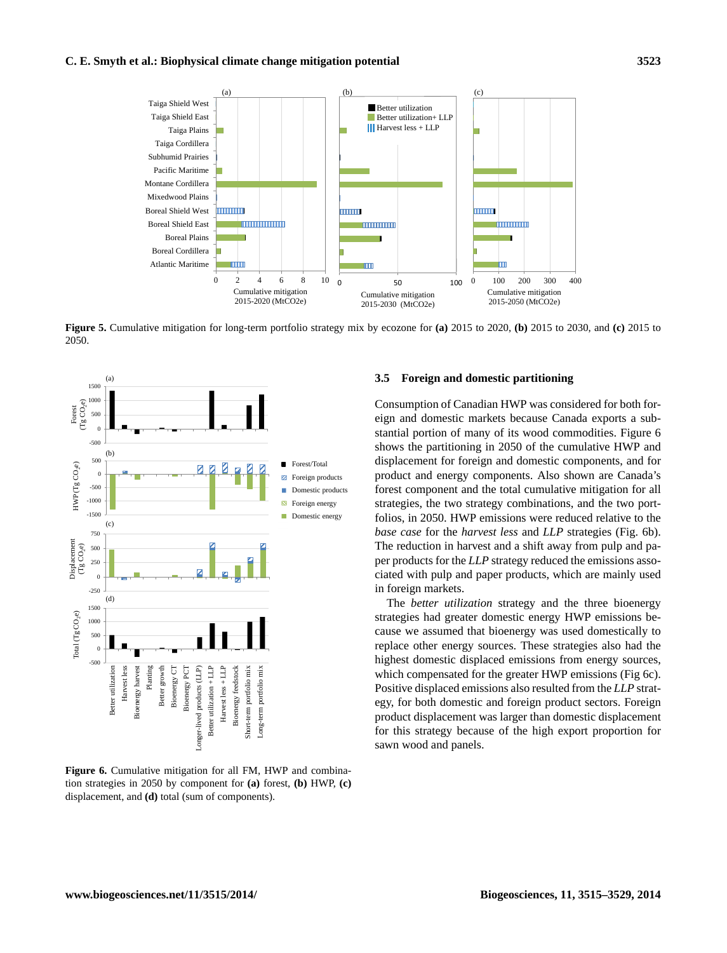

Figure 5 **Figure 5.** Cumulative mitigation for long-term portfolio strategy mix by ecozone for **(a)** 2015 to 2020, **(b)** 2015 to 2030, and **(c)** 2015 to 2050.



**Figure 6.** Cumulative mitigation for all FM, HWP and combination strategies in 2050 by component for **(a)** forest, **(b)** HWP, **(c)** displacement, and **(d)** total (sum of components).

## **3.5 Foreign and domestic partitioning**

Consumption of Canadian HWP was considered for both foreign and domestic markets because Canada exports a substantial portion of many of its wood commodities. Figure 6 shows the partitioning in 2050 of the cumulative HWP and displacement for foreign and domestic components, and for product and energy components. Also shown are Canada's forest component and the total cumulative mitigation for all strategies, the two strategy combinations, and the two portfolios, in 2050. HWP emissions were reduced relative to the *base case* for the *harvest less* and *LLP* strategies (Fig. 6b). The reduction in harvest and a shift away from pulp and paper products for the *LLP* strategy reduced the emissions associated with pulp and paper products, which are mainly used in foreign markets.

The *better utilization* strategy and the three bioenergy strategies had greater domestic energy HWP emissions because we assumed that bioenergy was used domestically to replace other energy sources. These strategies also had the highest domestic displaced emissions from energy sources, which compensated for the greater HWP emissions (Fig 6c). Positive displaced emissions also resulted from the *LLP* strategy, for both domestic and foreign product sectors. Foreign product displacement was larger than domestic displacement for this strategy because of the high export proportion for sawn wood and panels.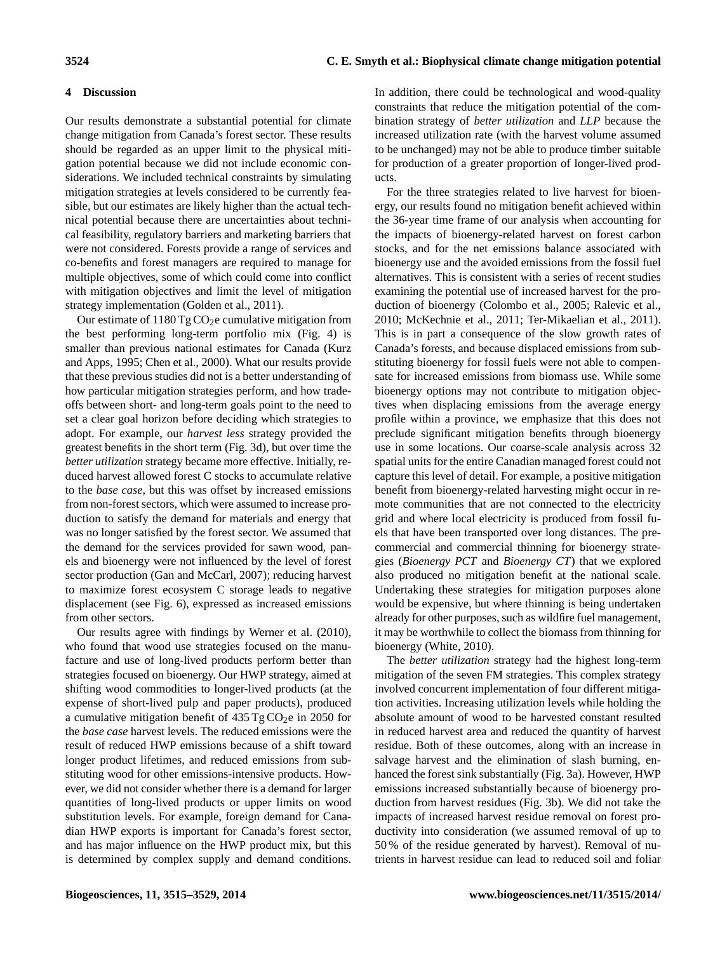# **4 Discussion**

Our results demonstrate a substantial potential for climate change mitigation from Canada's forest sector. These results should be regarded as an upper limit to the physical mitigation potential because we did not include economic considerations. We included technical constraints by simulating mitigation strategies at levels considered to be currently feasible, but our estimates are likely higher than the actual technical potential because there are uncertainties about technical feasibility, regulatory barriers and marketing barriers that were not considered. Forests provide a range of services and co-benefits and forest managers are required to manage for multiple objectives, some of which could come into conflict with mitigation objectives and limit the level of mitigation strategy implementation (Golden et al., 2011).

Our estimate of  $1180 \text{ Tg} \text{CO}_2$ e cumulative mitigation from the best performing long-term portfolio mix (Fig. 4) is smaller than previous national estimates for Canada (Kurz and Apps, 1995; Chen et al., 2000). What our results provide that these previous studies did not is a better understanding of how particular mitigation strategies perform, and how tradeoffs between short- and long-term goals point to the need to set a clear goal horizon before deciding which strategies to adopt. For example, our *harvest less* strategy provided the greatest benefits in the short term (Fig. 3d), but over time the *better utilization* strategy became more effective. Initially, reduced harvest allowed forest C stocks to accumulate relative to the *base case*, but this was offset by increased emissions from non-forest sectors, which were assumed to increase production to satisfy the demand for materials and energy that was no longer satisfied by the forest sector. We assumed that the demand for the services provided for sawn wood, panels and bioenergy were not influenced by the level of forest sector production (Gan and McCarl, 2007); reducing harvest to maximize forest ecosystem C storage leads to negative displacement (see Fig. 6), expressed as increased emissions from other sectors.

Our results agree with findings by Werner et al. (2010), who found that wood use strategies focused on the manufacture and use of long-lived products perform better than strategies focused on bioenergy. Our HWP strategy, aimed at shifting wood commodities to longer-lived products (at the expense of short-lived pulp and paper products), produced a cumulative mitigation benefit of  $435 \text{ Tg} \text{CO}_2$ e in 2050 for the *base case* harvest levels. The reduced emissions were the result of reduced HWP emissions because of a shift toward longer product lifetimes, and reduced emissions from substituting wood for other emissions-intensive products. However, we did not consider whether there is a demand for larger quantities of long-lived products or upper limits on wood substitution levels. For example, foreign demand for Canadian HWP exports is important for Canada's forest sector, and has major influence on the HWP product mix, but this is determined by complex supply and demand conditions. In addition, there could be technological and wood-quality constraints that reduce the mitigation potential of the combination strategy of *better utilization* and *LLP* because the increased utilization rate (with the harvest volume assumed to be unchanged) may not be able to produce timber suitable for production of a greater proportion of longer-lived products.

For the three strategies related to live harvest for bioenergy, our results found no mitigation benefit achieved within the 36-year time frame of our analysis when accounting for the impacts of bioenergy-related harvest on forest carbon stocks, and for the net emissions balance associated with bioenergy use and the avoided emissions from the fossil fuel alternatives. This is consistent with a series of recent studies examining the potential use of increased harvest for the production of bioenergy (Colombo et al., 2005; Ralevic et al., 2010; McKechnie et al., 2011; Ter-Mikaelian et al., 2011). This is in part a consequence of the slow growth rates of Canada's forests, and because displaced emissions from substituting bioenergy for fossil fuels were not able to compensate for increased emissions from biomass use. While some bioenergy options may not contribute to mitigation objectives when displacing emissions from the average energy profile within a province, we emphasize that this does not preclude significant mitigation benefits through bioenergy use in some locations. Our coarse-scale analysis across 32 spatial units for the entire Canadian managed forest could not capture this level of detail. For example, a positive mitigation benefit from bioenergy-related harvesting might occur in remote communities that are not connected to the electricity grid and where local electricity is produced from fossil fuels that have been transported over long distances. The precommercial and commercial thinning for bioenergy strategies (*Bioenergy PCT* and *Bioenergy CT*) that we explored also produced no mitigation benefit at the national scale. Undertaking these strategies for mitigation purposes alone would be expensive, but where thinning is being undertaken already for other purposes, such as wildfire fuel management, it may be worthwhile to collect the biomass from thinning for bioenergy (White, 2010).

The *better utilization* strategy had the highest long-term mitigation of the seven FM strategies. This complex strategy involved concurrent implementation of four different mitigation activities. Increasing utilization levels while holding the absolute amount of wood to be harvested constant resulted in reduced harvest area and reduced the quantity of harvest residue. Both of these outcomes, along with an increase in salvage harvest and the elimination of slash burning, enhanced the forest sink substantially (Fig. 3a). However, HWP emissions increased substantially because of bioenergy production from harvest residues (Fig. 3b). We did not take the impacts of increased harvest residue removal on forest productivity into consideration (we assumed removal of up to 50 % of the residue generated by harvest). Removal of nutrients in harvest residue can lead to reduced soil and foliar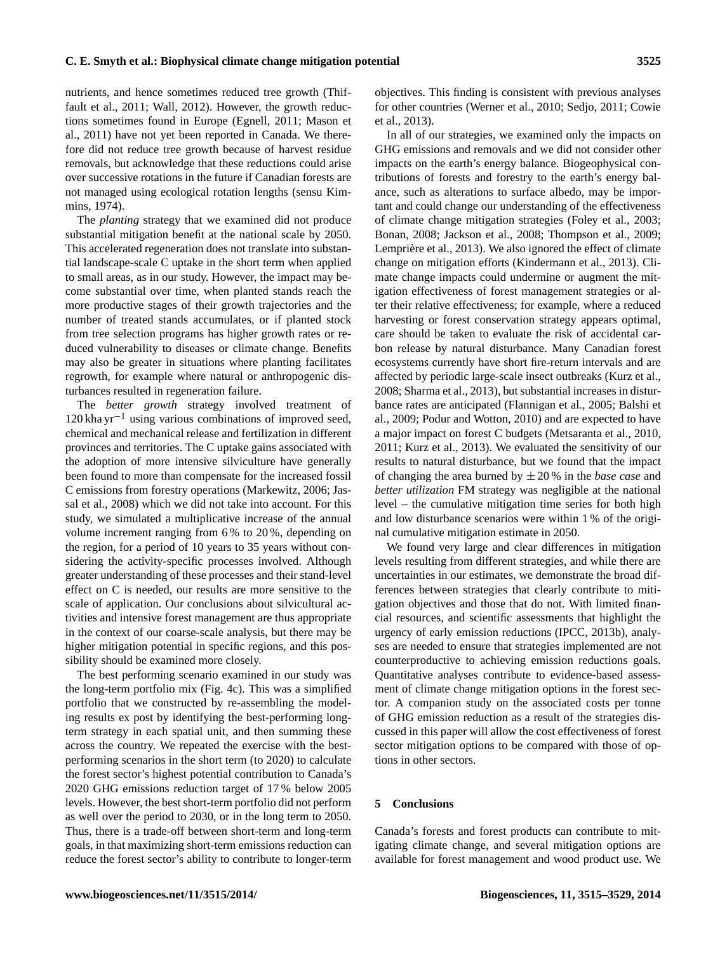nutrients, and hence sometimes reduced tree growth (Thiffault et al., 2011; Wall, 2012). However, the growth reductions sometimes found in Europe (Egnell, 2011; Mason et al., 2011) have not yet been reported in Canada. We therefore did not reduce tree growth because of harvest residue removals, but acknowledge that these reductions could arise over successive rotations in the future if Canadian forests are not managed using ecological rotation lengths (sensu Kimmins, 1974).

The *planting* strategy that we examined did not produce substantial mitigation benefit at the national scale by 2050. This accelerated regeneration does not translate into substantial landscape-scale C uptake in the short term when applied to small areas, as in our study. However, the impact may become substantial over time, when planted stands reach the more productive stages of their growth trajectories and the number of treated stands accumulates, or if planted stock from tree selection programs has higher growth rates or reduced vulnerability to diseases or climate change. Benefits may also be greater in situations where planting facilitates regrowth, for example where natural or anthropogenic disturbances resulted in regeneration failure.

The *better growth* strategy involved treatment of  $120$  kha yr<sup>-1</sup> using various combinations of improved seed, chemical and mechanical release and fertilization in different provinces and territories. The C uptake gains associated with the adoption of more intensive silviculture have generally been found to more than compensate for the increased fossil C emissions from forestry operations (Markewitz, 2006; Jassal et al., 2008) which we did not take into account. For this study, we simulated a multiplicative increase of the annual volume increment ranging from 6 % to 20 %, depending on the region, for a period of 10 years to 35 years without considering the activity-specific processes involved. Although greater understanding of these processes and their stand-level effect on C is needed, our results are more sensitive to the scale of application. Our conclusions about silvicultural activities and intensive forest management are thus appropriate in the context of our coarse-scale analysis, but there may be higher mitigation potential in specific regions, and this possibility should be examined more closely.

The best performing scenario examined in our study was the long-term portfolio mix (Fig. 4c). This was a simplified portfolio that we constructed by re-assembling the modeling results ex post by identifying the best-performing longterm strategy in each spatial unit, and then summing these across the country. We repeated the exercise with the bestperforming scenarios in the short term (to 2020) to calculate the forest sector's highest potential contribution to Canada's 2020 GHG emissions reduction target of 17 % below 2005 levels. However, the best short-term portfolio did not perform as well over the period to 2030, or in the long term to 2050. Thus, there is a trade-off between short-term and long-term goals, in that maximizing short-term emissions reduction can reduce the forest sector's ability to contribute to longer-term objectives. This finding is consistent with previous analyses for other countries (Werner et al., 2010; Sedjo, 2011; Cowie et al., 2013).

In all of our strategies, we examined only the impacts on GHG emissions and removals and we did not consider other impacts on the earth's energy balance. Biogeophysical contributions of forests and forestry to the earth's energy balance, such as alterations to surface albedo, may be important and could change our understanding of the effectiveness of climate change mitigation strategies (Foley et al., 2003; Bonan, 2008; Jackson et al., 2008; Thompson et al., 2009; Lemprière et al., 2013). We also ignored the effect of climate change on mitigation efforts (Kindermann et al., 2013). Climate change impacts could undermine or augment the mitigation effectiveness of forest management strategies or alter their relative effectiveness; for example, where a reduced harvesting or forest conservation strategy appears optimal, care should be taken to evaluate the risk of accidental carbon release by natural disturbance. Many Canadian forest ecosystems currently have short fire-return intervals and are affected by periodic large-scale insect outbreaks (Kurz et al., 2008; Sharma et al., 2013), but substantial increases in disturbance rates are anticipated (Flannigan et al., 2005; Balshi et al., 2009; Podur and Wotton, 2010) and are expected to have a major impact on forest C budgets (Metsaranta et al., 2010, 2011; Kurz et al., 2013). We evaluated the sensitivity of our results to natural disturbance, but we found that the impact of changing the area burned by ± 20 % in the *base case* and *better utilization* FM strategy was negligible at the national level – the cumulative mitigation time series for both high and low disturbance scenarios were within 1 % of the original cumulative mitigation estimate in 2050.

We found very large and clear differences in mitigation levels resulting from different strategies, and while there are uncertainties in our estimates, we demonstrate the broad differences between strategies that clearly contribute to mitigation objectives and those that do not. With limited financial resources, and scientific assessments that highlight the urgency of early emission reductions (IPCC, 2013b), analyses are needed to ensure that strategies implemented are not counterproductive to achieving emission reductions goals. Quantitative analyses contribute to evidence-based assessment of climate change mitigation options in the forest sector. A companion study on the associated costs per tonne of GHG emission reduction as a result of the strategies discussed in this paper will allow the cost effectiveness of forest sector mitigation options to be compared with those of options in other sectors.

# **5 Conclusions**

Canada's forests and forest products can contribute to mitigating climate change, and several mitigation options are available for forest management and wood product use. We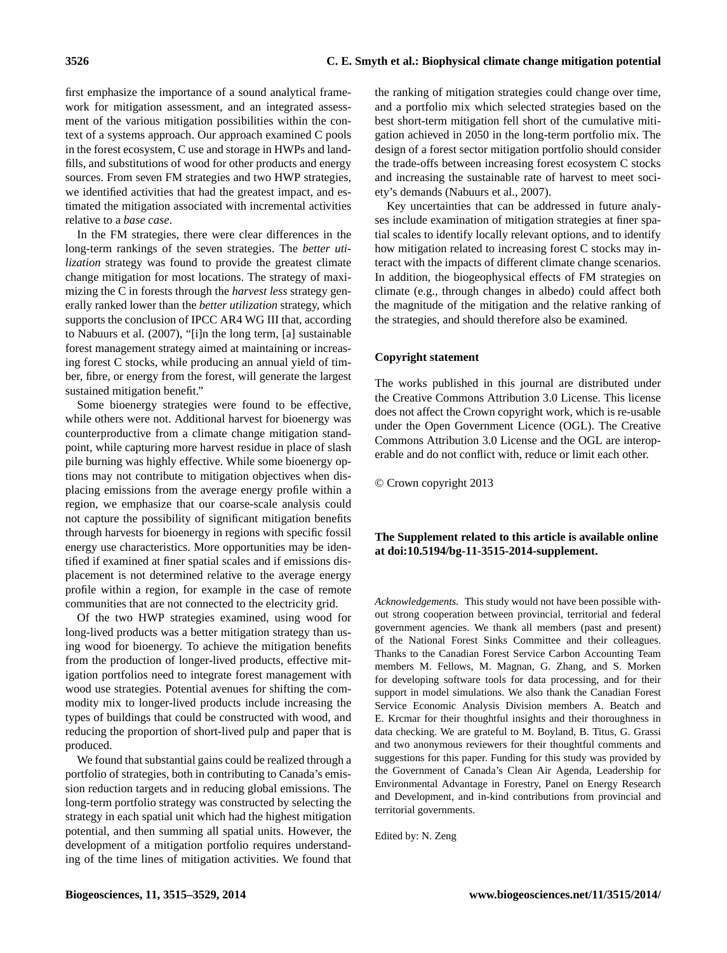first emphasize the importance of a sound analytical framework for mitigation assessment, and an integrated assessment of the various mitigation possibilities within the context of a systems approach. Our approach examined C pools in the forest ecosystem, C use and storage in HWPs and landfills, and substitutions of wood for other products and energy sources. From seven FM strategies and two HWP strategies, we identified activities that had the greatest impact, and estimated the mitigation associated with incremental activities relative to a *base case*.

In the FM strategies, there were clear differences in the long-term rankings of the seven strategies. The *better utilization* strategy was found to provide the greatest climate change mitigation for most locations. The strategy of maximizing the C in forests through the *harvest less* strategy generally ranked lower than the *better utilization* strategy, which supports the conclusion of IPCC AR4 WG III that, according to Nabuurs et al. (2007), "[i]n the long term, [a] sustainable forest management strategy aimed at maintaining or increasing forest C stocks, while producing an annual yield of timber, fibre, or energy from the forest, will generate the largest sustained mitigation benefit."

Some bioenergy strategies were found to be effective, while others were not. Additional harvest for bioenergy was counterproductive from a climate change mitigation standpoint, while capturing more harvest residue in place of slash pile burning was highly effective. While some bioenergy options may not contribute to mitigation objectives when displacing emissions from the average energy profile within a region, we emphasize that our coarse-scale analysis could not capture the possibility of significant mitigation benefits through harvests for bioenergy in regions with specific fossil energy use characteristics. More opportunities may be identified if examined at finer spatial scales and if emissions displacement is not determined relative to the average energy profile within a region, for example in the case of remote communities that are not connected to the electricity grid.

Of the two HWP strategies examined, using wood for long-lived products was a better mitigation strategy than using wood for bioenergy. To achieve the mitigation benefits from the production of longer-lived products, effective mitigation portfolios need to integrate forest management with wood use strategies. Potential avenues for shifting the commodity mix to longer-lived products include increasing the types of buildings that could be constructed with wood, and reducing the proportion of short-lived pulp and paper that is produced.

We found that substantial gains could be realized through a portfolio of strategies, both in contributing to Canada's emission reduction targets and in reducing global emissions. The long-term portfolio strategy was constructed by selecting the strategy in each spatial unit which had the highest mitigation potential, and then summing all spatial units. However, the development of a mitigation portfolio requires understanding of the time lines of mitigation activities. We found that the ranking of mitigation strategies could change over time, and a portfolio mix which selected strategies based on the best short-term mitigation fell short of the cumulative mitigation achieved in 2050 in the long-term portfolio mix. The design of a forest sector mitigation portfolio should consider the trade-offs between increasing forest ecosystem C stocks and increasing the sustainable rate of harvest to meet society's demands (Nabuurs et al., 2007).

Key uncertainties that can be addressed in future analyses include examination of mitigation strategies at finer spatial scales to identify locally relevant options, and to identify how mitigation related to increasing forest C stocks may interact with the impacts of different climate change scenarios. In addition, the biogeophysical effects of FM strategies on climate (e.g., through changes in albedo) could affect both the magnitude of the mitigation and the relative ranking of the strategies, and should therefore also be examined.

## **Copyright statement**

The works published in this journal are distributed under the Creative Commons Attribution 3.0 License. This license does not affect the Crown copyright work, which is re-usable under the Open Government Licence (OGL). The Creative Commons Attribution 3.0 License and the OGL are interoperable and do not conflict with, reduce or limit each other.

© Crown copyright 2013

# **The Supplement related to this article is available online at [doi:10.5194/bg-11-3515-2014-supplement.](http://dx.doi.org/10.5194/bg-11-3515-2014-supplement)**

*Acknowledgements.* This study would not have been possible without strong cooperation between provincial, territorial and federal government agencies. We thank all members (past and present) of the National Forest Sinks Committee and their colleagues. Thanks to the Canadian Forest Service Carbon Accounting Team members M. Fellows, M. Magnan, G. Zhang, and S. Morken for developing software tools for data processing, and for their support in model simulations. We also thank the Canadian Forest Service Economic Analysis Division members A. Beatch and E. Krcmar for their thoughtful insights and their thoroughness in data checking. We are grateful to M. Boyland, B. Titus, G. Grassi and two anonymous reviewers for their thoughtful comments and suggestions for this paper. Funding for this study was provided by the Government of Canada's Clean Air Agenda, Leadership for Environmental Advantage in Forestry, Panel on Energy Research and Development, and in-kind contributions from provincial and territorial governments.

Edited by: N. Zeng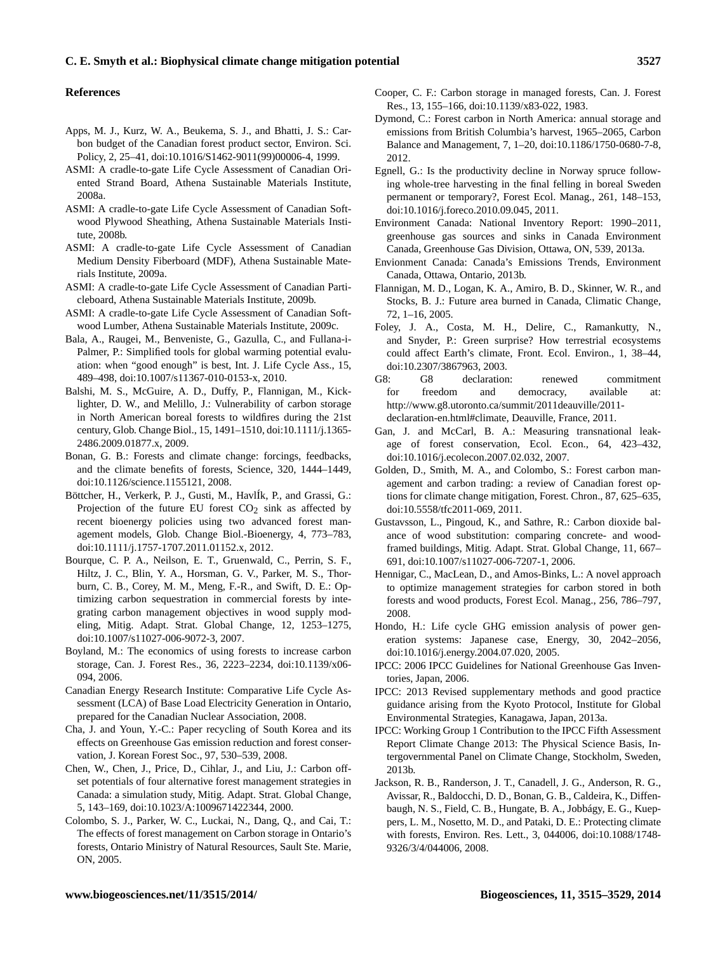#### **References**

- Apps, M. J., Kurz, W. A., Beukema, S. J., and Bhatti, J. S.: Carbon budget of the Canadian forest product sector, Environ. Sci. Policy, 2, 25–41, doi[:10.1016/S1462-9011\(99\)00006-4,](http://dx.doi.org/10.1016/S1462-9011(99)00006-4) 1999.
- ASMI: A cradle-to-gate Life Cycle Assessment of Canadian Oriented Strand Board, Athena Sustainable Materials Institute, 2008a.
- ASMI: A cradle-to-gate Life Cycle Assessment of Canadian Softwood Plywood Sheathing, Athena Sustainable Materials Institute, 2008b.
- ASMI: A cradle-to-gate Life Cycle Assessment of Canadian Medium Density Fiberboard (MDF), Athena Sustainable Materials Institute, 2009a.
- ASMI: A cradle-to-gate Life Cycle Assessment of Canadian Particleboard, Athena Sustainable Materials Institute, 2009b.
- ASMI: A cradle-to-gate Life Cycle Assessment of Canadian Softwood Lumber, Athena Sustainable Materials Institute, 2009c.
- Bala, A., Raugei, M., Benveniste, G., Gazulla, C., and Fullana-i-Palmer, P.: Simplified tools for global warming potential evaluation: when "good enough" is best, Int. J. Life Cycle Ass., 15, 489–498, doi[:10.1007/s11367-010-0153-x,](http://dx.doi.org/10.1007/s11367-010-0153-x) 2010.
- Balshi, M. S., McGuire, A. D., Duffy, P., Flannigan, M., Kicklighter, D. W., and Melillo, J.: Vulnerability of carbon storage in North American boreal forests to wildfires during the 21st century, Glob. Change Biol., 15, 1491–1510, doi[:10.1111/j.1365-](http://dx.doi.org/10.1111/j.1365-2486.2009.01877.x) [2486.2009.01877.x,](http://dx.doi.org/10.1111/j.1365-2486.2009.01877.x) 2009.
- Bonan, G. B.: Forests and climate change: forcings, feedbacks, and the climate benefits of forests, Science, 320, 1444–1449, doi[:10.1126/science.1155121,](http://dx.doi.org/10.1126/science.1155121) 2008.
- Böttcher, H., Verkerk, P. J., Gusti, M., HavlÍk, P., and Grassi, G.: Projection of the future EU forest  $CO<sub>2</sub>$  sink as affected by recent bioenergy policies using two advanced forest management models, Glob. Change Biol.-Bioenergy, 4, 773–783, doi[:10.1111/j.1757-1707.2011.01152.x,](http://dx.doi.org/10.1111/j.1757-1707.2011.01152.x) 2012.
- Bourque, C. P. A., Neilson, E. T., Gruenwald, C., Perrin, S. F., Hiltz, J. C., Blin, Y. A., Horsman, G. V., Parker, M. S., Thorburn, C. B., Corey, M. M., Meng, F.-R., and Swift, D. E.: Optimizing carbon sequestration in commercial forests by integrating carbon management objectives in wood supply modeling, Mitig. Adapt. Strat. Global Change, 12, 1253–1275, doi[:10.1007/s11027-006-9072-3,](http://dx.doi.org/10.1007/s11027-006-9072-3) 2007.
- Boyland, M.: The economics of using forests to increase carbon storage, Can. J. Forest Res., 36, 2223–2234, doi[:10.1139/x06-](http://dx.doi.org/10.1139/x06-094) [094,](http://dx.doi.org/10.1139/x06-094) 2006.
- Canadian Energy Research Institute: Comparative Life Cycle Assessment (LCA) of Base Load Electricity Generation in Ontario, prepared for the Canadian Nuclear Association, 2008.
- Cha, J. and Youn, Y.-C.: Paper recycling of South Korea and its effects on Greenhouse Gas emission reduction and forest conservation, J. Korean Forest Soc., 97, 530–539, 2008.
- Chen, W., Chen, J., Price, D., Cihlar, J., and Liu, J.: Carbon offset potentials of four alternative forest management strategies in Canada: a simulation study, Mitig. Adapt. Strat. Global Change, 5, 143–169, doi[:10.1023/A:1009671422344,](http://dx.doi.org/10.1023/A:1009671422344) 2000.
- Colombo, S. J., Parker, W. C., Luckai, N., Dang, Q., and Cai, T.: The effects of forest management on Carbon storage in Ontario's forests, Ontario Ministry of Natural Resources, Sault Ste. Marie, ON, 2005.
- - IPCC: 2006 IPCC Guidelines for National Greenhouse Gas Inventories, Japan, 2006.
	- IPCC: 2013 Revised supplementary methods and good practice guidance arising from the Kyoto Protocol, Institute for Global Environmental Strategies, Kanagawa, Japan, 2013a.
	- IPCC: Working Group 1 Contribution to the IPCC Fifth Assessment Report Climate Change 2013: The Physical Science Basis, Intergovernmental Panel on Climate Change, Stockholm, Sweden, 2013b.
	- Jackson, R. B., Randerson, J. T., Canadell, J. G., Anderson, R. G., Avissar, R., Baldocchi, D. D., Bonan, G. B., Caldeira, K., Diffenbaugh, N. S., Field, C. B., Hungate, B. A., Jobbágy, E. G., Kueppers, L. M., Nosetto, M. D., and Pataki, D. E.: Protecting climate with forests, Environ. Res. Lett., 3, 044006, doi[:10.1088/1748-](http://dx.doi.org/10.1088/1748-9326/3/4/044006) [9326/3/4/044006,](http://dx.doi.org/10.1088/1748-9326/3/4/044006) 2008.
- Cooper, C. F.: Carbon storage in managed forests, Can. J. Forest Res., 13, 155–166, doi[:10.1139/x83-022,](http://dx.doi.org/10.1139/x83-022) 1983.
- Dymond, C.: Forest carbon in North America: annual storage and emissions from British Columbia's harvest, 1965–2065, Carbon Balance and Management, 7, 1–20, doi[:10.1186/1750-0680-7-8,](http://dx.doi.org/10.1186/1750-0680-7-8) 2012.
- Egnell, G.: Is the productivity decline in Norway spruce following whole-tree harvesting in the final felling in boreal Sweden permanent or temporary?, Forest Ecol. Manag., 261, 148–153, doi[:10.1016/j.foreco.2010.09.045,](http://dx.doi.org/10.1016/j.foreco.2010.09.045) 2011.
- Environment Canada: National Inventory Report: 1990–2011, greenhouse gas sources and sinks in Canada Environment Canada, Greenhouse Gas Division, Ottawa, ON, 539, 2013a.
- Envionment Canada: Canada's Emissions Trends, Environment Canada, Ottawa, Ontario, 2013b.
- Flannigan, M. D., Logan, K. A., Amiro, B. D., Skinner, W. R., and Stocks, B. J.: Future area burned in Canada, Climatic Change, 72, 1–16, 2005.
- Foley, J. A., Costa, M. H., Delire, C., Ramankutty, N., and Snyder, P.: Green surprise? How terrestrial ecosystems could affect Earth's climate, Front. Ecol. Environ., 1, 38–44, doi[:10.2307/3867963,](http://dx.doi.org/10.2307/3867963) 2003.
- G8: G8 declaration: renewed commitment for freedom and democracy, available at: [http://www.g8.utoronto.ca/summit/2011deauville/2011](http://www.g8.utoronto.ca/summit/2011deauville/2011-declaration-en.html#climate) [declaration-en.html#climate,](http://www.g8.utoronto.ca/summit/2011deauville/2011-declaration-en.html#climate) Deauville, France, 2011.
- Gan, J. and McCarl, B. A.: Measuring transnational leakage of forest conservation, Ecol. Econ., 64, 423–432, doi[:10.1016/j.ecolecon.2007.02.032,](http://dx.doi.org/10.1016/j.ecolecon.2007.02.032) 2007.
- Golden, D., Smith, M. A., and Colombo, S.: Forest carbon management and carbon trading: a review of Canadian forest options for climate change mitigation, Forest. Chron., 87, 625–635, doi[:10.5558/tfc2011-069,](http://dx.doi.org/10.5558/tfc2011-069) 2011.
- Gustavsson, L., Pingoud, K., and Sathre, R.: Carbon dioxide balance of wood substitution: comparing concrete- and woodframed buildings, Mitig. Adapt. Strat. Global Change, 11, 667– 691, doi[:10.1007/s11027-006-7207-1,](http://dx.doi.org/10.1007/s11027-006-7207-1) 2006.
- Hennigar, C., MacLean, D., and Amos-Binks, L.: A novel approach to optimize management strategies for carbon stored in both forests and wood products, Forest Ecol. Manag., 256, 786–797, 2008.
- Hondo, H.: Life cycle GHG emission analysis of power generation systems: Japanese case, Energy, 30, 2042–2056, doi[:10.1016/j.energy.2004.07.020,](http://dx.doi.org/10.1016/j.energy.2004.07.020) 2005.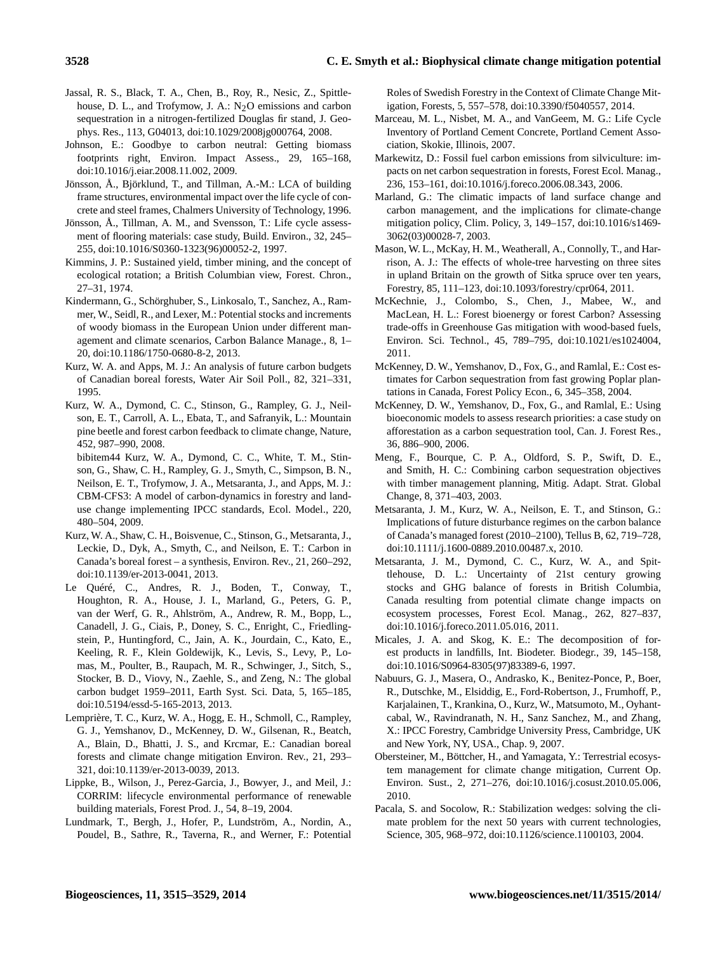- Jassal, R. S., Black, T. A., Chen, B., Roy, R., Nesic, Z., Spittlehouse, D. L., and Trofymow, J. A.:  $N<sub>2</sub>O$  emissions and carbon sequestration in a nitrogen-fertilized Douglas fir stand, J. Geophys. Res., 113, G04013, doi[:10.1029/2008jg000764,](http://dx.doi.org/10.1029/2008jg000764) 2008.
- Johnson, E.: Goodbye to carbon neutral: Getting biomass footprints right, Environ. Impact Assess., 29, 165–168, doi[:10.1016/j.eiar.2008.11.002,](http://dx.doi.org/10.1016/j.eiar.2008.11.002) 2009.
- Jönsson, Å., Björklund, T., and Tillman, A.-M.: LCA of building frame structures, environmental impact over the life cycle of concrete and steel frames, Chalmers University of Technology, 1996.
- Jönsson, Å., Tillman, A. M., and Svensson, T.: Life cycle assessment of flooring materials: case study, Build. Environ., 32, 245– 255, doi[:10.1016/S0360-1323\(96\)00052-2,](http://dx.doi.org/10.1016/S0360-1323(96)00052-2) 1997.
- Kimmins, J. P.: Sustained yield, timber mining, and the concept of ecological rotation; a British Columbian view, Forest. Chron., 27–31, 1974.
- Kindermann, G., Schörghuber, S., Linkosalo, T., Sanchez, A., Rammer, W., Seidl, R., and Lexer, M.: Potential stocks and increments of woody biomass in the European Union under different management and climate scenarios, Carbon Balance Manage., 8, 1– 20, doi[:10.1186/1750-0680-8-2,](http://dx.doi.org/10.1186/1750-0680-8-2) 2013.
- Kurz, W. A. and Apps, M. J.: An analysis of future carbon budgets of Canadian boreal forests, Water Air Soil Poll., 82, 321–331, 1995.
- Kurz, W. A., Dymond, C. C., Stinson, G., Rampley, G. J., Neilson, E. T., Carroll, A. L., Ebata, T., and Safranyik, L.: Mountain pine beetle and forest carbon feedback to climate change, Nature, 452, 987–990, 2008.
- bibitem44 Kurz, W. A., Dymond, C. C., White, T. M., Stinson, G., Shaw, C. H., Rampley, G. J., Smyth, C., Simpson, B. N., Neilson, E. T., Trofymow, J. A., Metsaranta, J., and Apps, M. J.: CBM-CFS3: A model of carbon-dynamics in forestry and landuse change implementing IPCC standards, Ecol. Model., 220, 480–504, 2009.
- Kurz, W. A., Shaw, C. H., Boisvenue, C., Stinson, G., Metsaranta, J., Leckie, D., Dyk, A., Smyth, C., and Neilson, E. T.: Carbon in Canada's boreal forest – a synthesis, Environ. Rev., 21, 260–292, doi[:10.1139/er-2013-0041,](http://dx.doi.org/10.1139/er-2013-0041) 2013.
- Le Quéré, C., Andres, R. J., Boden, T., Conway, T., Houghton, R. A., House, J. I., Marland, G., Peters, G. P., van der Werf, G. R., Ahlström, A., Andrew, R. M., Bopp, L., Canadell, J. G., Ciais, P., Doney, S. C., Enright, C., Friedlingstein, P., Huntingford, C., Jain, A. K., Jourdain, C., Kato, E., Keeling, R. F., Klein Goldewijk, K., Levis, S., Levy, P., Lomas, M., Poulter, B., Raupach, M. R., Schwinger, J., Sitch, S., Stocker, B. D., Viovy, N., Zaehle, S., and Zeng, N.: The global carbon budget 1959–2011, Earth Syst. Sci. Data, 5, 165–185, doi[:10.5194/essd-5-165-2013,](http://dx.doi.org/10.5194/essd-5-165-2013) 2013.
- Lemprière, T. C., Kurz, W. A., Hogg, E. H., Schmoll, C., Rampley, G. J., Yemshanov, D., McKenney, D. W., Gilsenan, R., Beatch, A., Blain, D., Bhatti, J. S., and Krcmar, E.: Canadian boreal forests and climate change mitigation Environ. Rev., 21, 293– 321, doi[:10.1139/er-2013-0039,](http://dx.doi.org/10.1139/er-2013-0039) 2013.
- Lippke, B., Wilson, J., Perez-Garcia, J., Bowyer, J., and Meil, J.: CORRIM: lifecycle environmental performance of renewable building materials, Forest Prod. J., 54, 8–19, 2004.
- Lundmark, T., Bergh, J., Hofer, P., Lundström, A., Nordin, A., Poudel, B., Sathre, R., Taverna, R., and Werner, F.: Potential

Roles of Swedish Forestry in the Context of Climate Change Mitigation, Forests, 5, 557–578, doi[:10.3390/f5040557,](http://dx.doi.org/10.3390/f5040557) 2014.

- Marceau, M. L., Nisbet, M. A., and VanGeem, M. G.: Life Cycle Inventory of Portland Cement Concrete, Portland Cement Association, Skokie, Illinois, 2007.
- Markewitz, D.: Fossil fuel carbon emissions from silviculture: impacts on net carbon sequestration in forests, Forest Ecol. Manag., 236, 153–161, doi[:10.1016/j.foreco.2006.08.343,](http://dx.doi.org/10.1016/j.foreco.2006.08.343) 2006.
- Marland, G.: The climatic impacts of land surface change and carbon management, and the implications for climate-change mitigation policy, Clim. Policy, 3, 149–157, doi[:10.1016/s1469-](http://dx.doi.org/10.1016/s1469-3062(03)00028-7) [3062\(03\)00028-7,](http://dx.doi.org/10.1016/s1469-3062(03)00028-7) 2003.
- Mason, W. L., McKay, H. M., Weatherall, A., Connolly, T., and Harrison, A. J.: The effects of whole-tree harvesting on three sites in upland Britain on the growth of Sitka spruce over ten years, Forestry, 85, 111–123, doi[:10.1093/forestry/cpr064,](http://dx.doi.org/10.1093/forestry/cpr064) 2011.
- McKechnie, J., Colombo, S., Chen, J., Mabee, W., and MacLean, H. L.: Forest bioenergy or forest Carbon? Assessing trade-offs in Greenhouse Gas mitigation with wood-based fuels, Environ. Sci. Technol., 45, 789–795, doi[:10.1021/es1024004,](http://dx.doi.org/10.1021/es1024004) 2011.
- McKenney, D. W., Yemshanov, D., Fox, G., and Ramlal, E.: Cost estimates for Carbon sequestration from fast growing Poplar plantations in Canada, Forest Policy Econ., 6, 345–358, 2004.
- McKenney, D. W., Yemshanov, D., Fox, G., and Ramlal, E.: Using bioeconomic models to assess research priorities: a case study on afforestation as a carbon sequestration tool, Can. J. Forest Res., 36, 886–900, 2006.
- Meng, F., Bourque, C. P. A., Oldford, S. P., Swift, D. E., and Smith, H. C.: Combining carbon sequestration objectives with timber management planning, Mitig. Adapt. Strat. Global Change, 8, 371–403, 2003.
- Metsaranta, J. M., Kurz, W. A., Neilson, E. T., and Stinson, G.: Implications of future disturbance regimes on the carbon balance of Canada's managed forest (2010–2100), Tellus B, 62, 719–728, doi[:10.1111/j.1600-0889.2010.00487.x,](http://dx.doi.org/10.1111/j.1600-0889.2010.00487.x) 2010.
- Metsaranta, J. M., Dymond, C. C., Kurz, W. A., and Spittlehouse, D. L.: Uncertainty of 21st century growing stocks and GHG balance of forests in British Columbia, Canada resulting from potential climate change impacts on ecosystem processes, Forest Ecol. Manag., 262, 827–837, doi[:10.1016/j.foreco.2011.05.016,](http://dx.doi.org/10.1016/j.foreco.2011.05.016) 2011.
- Micales, J. A. and Skog, K. E.: The decomposition of forest products in landfills, Int. Biodeter. Biodegr., 39, 145–158, doi[:10.1016/S0964-8305\(97\)83389-6,](http://dx.doi.org/10.1016/S0964-8305(97)83389-6) 1997.
- Nabuurs, G. J., Masera, O., Andrasko, K., Benitez-Ponce, P., Boer, R., Dutschke, M., Elsiddig, E., Ford-Robertson, J., Frumhoff, P., Karjalainen, T., Krankina, O., Kurz, W., Matsumoto, M., Oyhantcabal, W., Ravindranath, N. H., Sanz Sanchez, M., and Zhang, X.: IPCC Forestry, Cambridge University Press, Cambridge, UK and New York, NY, USA., Chap. 9, 2007.
- Obersteiner, M., Böttcher, H., and Yamagata, Y.: Terrestrial ecosystem management for climate change mitigation, Current Op. Environ. Sust., 2, 271–276, doi[:10.1016/j.cosust.2010.05.006,](http://dx.doi.org/10.1016/j.cosust.2010.05.006) 2010.
- Pacala, S. and Socolow, R.: Stabilization wedges: solving the climate problem for the next 50 years with current technologies, Science, 305, 968–972, doi[:10.1126/science.1100103,](http://dx.doi.org/10.1126/science.1100103) 2004.